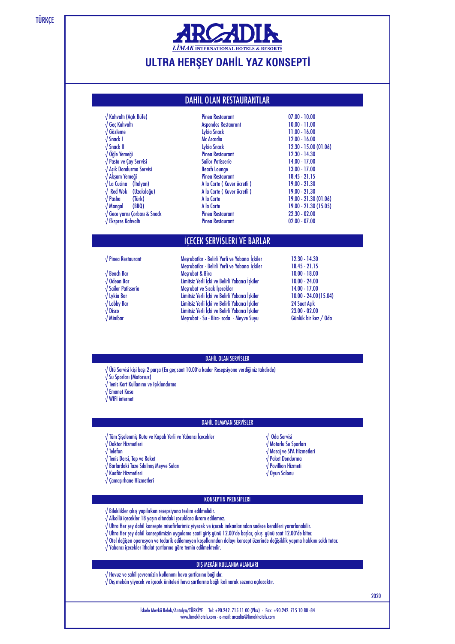**TÜRKÇE** 



# **ULTRA HERŞEY DAH�L YAZ KONSEPT�**

## DAHİL OLAN RESTAURANTLAR

| $\sqrt{Kahvalt}$ (Açık Büfe)                                | <b>Pinea Restaurant</b>    | $07.00 - 10.00$       |
|-------------------------------------------------------------|----------------------------|-----------------------|
| $\sqrt{6}$ ec Kahvaltı                                      | Aspendos Restaurant        | $10.00 - 11.00$       |
| $\sqrt{6}$ özleme                                           | Lykia Snack                | $11.00 - 16.00$       |
| $\sqrt{\frac{1}{1}}$ Snack 1                                | <b>Mc Arcadia</b>          | $12.00 - 16.00$       |
| $\sqrt{\frac{1}{1}}$ Snack II                               | Lykia Snack                | 12.30 - 15.00 (01.06) |
| $\sqrt{0}$ ğle Yemeği                                       | <b>Pinea Restaurant</b>    | $12.30 - 14.30$       |
| $\sqrt{\frac{P_{\alpha}}{P_{\alpha}}}$ Pasta ve Çay Servisi | <b>Sailor Patisserie</b>   | $14.00 - 17.00$       |
| √ Acık Dondurma Servisi                                     | <b>Beach Lounge</b>        | 13.00 - 17.00         |
| $\sqrt{A}$ ksam Yemeği                                      | <b>Pinea Restaurant</b>    | $18.45 - 21.15$       |
| $\sqrt{a}$ Cucina (Italyan)                                 | A la Carte (Kuver ücretli) | 19.00 - 21.30         |
| $\sqrt{Red}$ Wok (Uzakdoğu)                                 | A la Carte (Kuver ücretli) | $19.00 - 21.30$       |
| (Türk)<br>$\sqrt{P}$ asha                                   | A la Carte                 | 19.00 - 21.30 (01.06) |
| $\sqrt{M}$ angal<br>(BBQ)                                   | A la Carte                 | 19.00 - 21.30 (15.05) |
| $\sqrt{6}$ ece yarısı Çorbası & Snack                       | <b>Pinea Restaurant</b>    | $22.30 - 02.00$       |
| $\sqrt{\mathsf{Ekspres}}$ Kahvaltı                          | <b>Pinea Restaurant</b>    | $02.00 - 07.00$       |

# İÇECEK SERVİSLERİ VE BARLAR

Meşrubatlar - Belirli Yerli ve Yabancı İçkiler

Limitsiz Yerli İçki ve Belirli Yabancı İçkiler Meşrubat ve Sıcak İçecekler Limitsiz Yerli İçki ve Belirli Yabancı İçkiler Limitsiz Yerli İçki ve Belirli Yabancı İçkiler Limitsiz Yerli İçki ve Belirli Yabancı İçkiler Meşrubat - Su - Bira- soda - Meyve Suyu

#### √ Pinea Restaurant

- √ Beach Bar √ Odeon Bar √ Sailor Patisseria √ Lykia Bar √ Lobby Bar
- √ Disco
- √ Minibar

Meşrubatlar - Belirli Yerli ve Yabancı İçkiler 18.45 - 21.15 10.00 - 18.00 10.00 - 24.00 14.00 - 17.00 10.00 - 24.00 (15.04) 24 Saat Açık 23.00 - 02.00 Günlük bir kez / Oda

12.30 - 14.30

#### DAHİL OLAN SERVİSLER

√ Ütü Servisi kişi başı 2 parça (En geç saat 10.00'a kadar Resepsiyona verdiğiniz takdirde)

Meşrubat & Bira

- √ Su Sporları (Motorsuz)
- √ Tenis Kort Kullanımı ve Işıklandırma
- √ Emanet Kasa
- √ WIFI internet

#### DAHİL OLMAYAN SERVİSLER

- √ Tüm Şişelenmiş Kutu ve Kapalı Yerli ve Yabancı İçecekler
- √ Doktor Hizmetleri
- √ Telefon
- √ Tenis Dersi, Top ve Raket
- √ Barlardaki Taze Sıkılmış Meyve Suları √ Kuaför Hizmetleri
- √ Çamaşırhane Hizmetleri
- 

# √ Oda Servisi

- √ Motorlu Su Sporları √ Masaj ve SPA Hizmetleri
- √ Paket Dondurma
- √ Povillion Hizmeti
- √ Oyun Salonu
- √ Bileklikler çıkış yapılırken resepsiyona teslim edilmelidir.
- √ Alkollü içecekler 18 yaşın altındaki çocuklara ikram edilemez.
- √ Ultra Her şey dahil konsepte misafirlerimiz yiyecek ve içecek imkanlarından sadece kendileri yararlanabilir.
- √ Ultra Her şey dahil konseptimizin uygulama saati giriş günü 12.00'de başlar, çıkış günü saat 12.00'de biter.
- √ Otel değişen operasyon ve tedarik edilemeyen koşullarından dolayı konsept üzerinde değişiklik yapma hakkını saklı tutar.

KONSEPTİN PRENSİPLERİ

√ Yabancı içecekler ithalat şartlarına göre temin edilmektedir.

## DIŞ MEKÂN KULLANIM ALANLARI

- √ Havuz ve sahil çevremizin kullanımı hava şartlarına bağlıdır.
- √ Dış mekân yiyecek ve içecek üniteleri hava şartlarına bağlı kalınarak sezona açılacaktır.

2020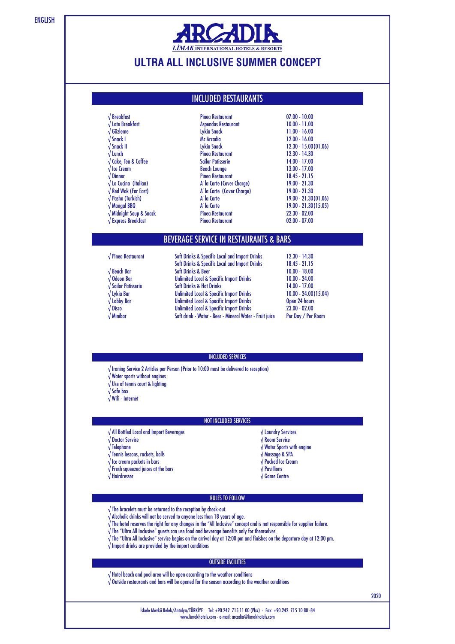ENGLISH



# **ULTRA ALL INCLUSIVE SUMMER CONCEPT**

# INCLUDED RESTAURANTS

| $\sqrt{B}$ reakfast                       | <b>Pinea Restaurant</b>    | $07.00 - 10.00$        |
|-------------------------------------------|----------------------------|------------------------|
| $\sqrt{\frac{1}{1}}$ Late Breakfast       | Aspendos Restaurant        | $10.00 - 11.00$        |
| $\sqrt{6}$ özleme                         | Lykia Snack                | $11.00 - 16.00$        |
| $\sqrt{\frac{1}{1}}$ Snack 1              | Mc Arcadia                 | $12.00 - 16.00$        |
| $\sqrt{\frac{1}{1}}$ Snack II             | Lykia Snack                | $12.30 - 15.00(01.06)$ |
| $\sqrt{\mathsf{Lunch}}$                   | <b>Pinea Restaurant</b>    | 12.30 - 14.30          |
| $\sqrt{\phantom{a}}$ Cake, Tea & Coffee   | <b>Sailor Patisserie</b>   | $14.00 - 17.00$        |
| $\sqrt{ }$ Ice Cream                      | <b>Beach Lounge</b>        | $13.00 - 17.00$        |
| $\sqrt{}$ Dinner                          | <b>Pinea Restaurant</b>    | 18.45 - 21.15          |
| $\sqrt{a}$ Cucina (Italian)               | A' la Carte (Cover Charge) | 19.00 - 21.30          |
| $\sqrt{Red}$ Wok (Far East)               | A' la Carte (Cover Charge) | 19.00 - 21.30          |
| $\sqrt{\mathsf{Pasha}(\mathsf{Turkish})}$ | A' la Carte                | $19.00 - 21.30(01.06)$ |
| $\sqrt{M}$ angal BBQ                      | A' la Carte                | 19.00 - 21.30(15.05)   |
| $\sqrt{M}$ idnight Soup & Snack           | <b>Pinea Restaurant</b>    | $22.30 - 02.00$        |
| $\sqrt{\mathsf{Express}$ Breakfast        | <b>Pinea Restaurant</b>    | $02.00 - 07.00$        |

# BEVERAGE SERVICE IN RESTAURANTS & BARS

|  |  | $\sqrt{\frac{1}{2}}$ Pinea Restaurant |
|--|--|---------------------------------------|
|--|--|---------------------------------------|

√ Beach Bar √ Odeon Bar √ Sailor Patisserie √ Lykia Bar √ Lobby Bar √ Disco √ Minibar

#### Soft Drinks & Specific Local and Import Drinks Soft Drinks & Specific Local and Import Drinks Soft Drinks & Beer Unlimited Local & Specific Import Drinks Soft Drinks & Hot Drinks Unlimited Local & Specific Import Drinks Unlimited Local & Specific Import Drinks Unlimited Local & Specific Import Drinks Soft drink - Water - Beer - Mineral Water - Fruit juice 12.30 - 14.30

18.45 - 21.15 10.00 - 18.00 10.00 - 24.00 14.00 - 17.00 10.00 - 24.00 (15.04) Open 24 hours 23.00 - 02.00 Per Day / Per Room

#### INCLUDED SERVICES

- √ Ironing Service 2 Articles per Person (Prior to 10:00 must be delivered to reception)
- √ Water sports without engines
- √ Use of tennis court & lighting
- √ Safe box
- √ Wifi Internet

#### NOT INCLUDED SERVICES

- √ All Bottled Local and Import Beverages
- √ Doctor Service √ Telephone

- √ Tennis lessons, rackets, balls
- √ Ice cream packets in bars
- √ Fresh squeezed juices at the bars √ Hairdresser
- 
- √ Laundry Services
- √ Room Service
- √ Water Sports with engine
- √ Massage & SPA
- √ Packed Ice Cream
- √ Pavillions
- √ Game Centre

#### √ The bracelets must be returned to the reception by check-out.

- √ Alcoholic drinks will not be served to anyone less than 18 years of age.
- √ The hotel reserves the right for any changes in the "All Inclusive" concept and is not responsible for supplier failure.
- √ The "Ultra All Inclusive" guests can use food and beverage benefits only for themselves
- √ The "Ultra All Inclusive" service begins on the arrival day at 12:00 pm and finishes on the departure day at 12:00 pm.
- √ Import drinks are provided by the import conditions

#### OUTSIDE FACILITIES

RULES TO FOLLOW

- √ Hotel beach and pool area will be open according to the weather conditions
- √ Outside restaurants and bars will be opened for the season according to the weather conditions

2020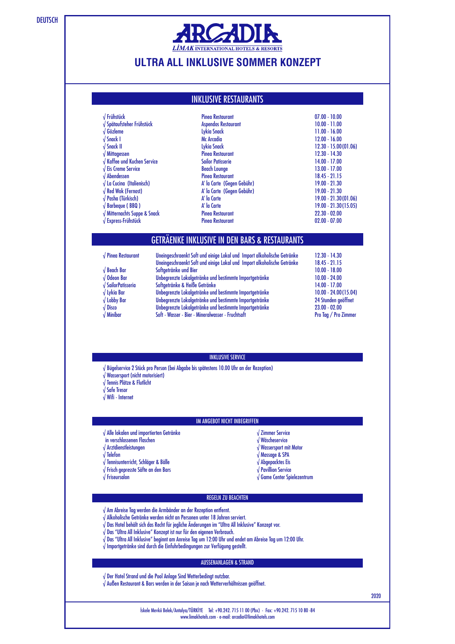**DEUTSCH** 



# **ULTRA ALL INKLUSIVE SOMMER KONZEPT**

## INKLUSIVE RESTAURANTS

| $\sqrt{}$ Frühstück         |                              | <b>Pinea Restaurant</b>    | $07.00 - 10.00$        |
|-----------------------------|------------------------------|----------------------------|------------------------|
|                             | √ Spätaufsteher Frühstück    | Aspendos Restaurant        | $10.00 - 11.00$        |
| $\sqrt{6}$ özleme           |                              | Lykia Snack                | $11.00 - 16.00$        |
| √ Snack I                   |                              | <b>Mc Arcadia</b>          | $12.00 - 16.00$        |
| $\sqrt{\ }$ Snack II        |                              | Lykia Snack                | $12.30 - 15.00(01.06)$ |
| $\sqrt{M}$ ittagessen       |                              | <b>Pinea Restaurant</b>    | $12.30 - 14.30$        |
|                             | √ Kaffee und Kuchen Service  | <b>Sailor Patisserie</b>   | $14.00 - 17.00$        |
|                             | $\sqrt{ }$ Eis Creme Service | <b>Beach Lounge</b>        | $13.00 - 17.00$        |
| $\sqrt{\lambda}$ Abendessen |                              | <b>Pinea Restaurant</b>    | $18.45 - 21.15$        |
|                             | √ La Cucina (Italienisch)    | A' la Carte (Gegen Gebühr) | $19.00 - 21.30$        |
|                             | √ Red Wok (Fernost)          | A' la Carte (Gegen Gebühr) | $19.00 - 21.30$        |
|                             | √ Pasha (Türkisch)           | A' la Carte                | $19.00 - 21.30(01.06)$ |
|                             | $\sqrt{$ Barbeque (BBQ)      | A' la Carte                | $19.00 - 21.30(15.05)$ |
|                             | √ Mitternachts Suppe & Snack | <b>Pinea Restaurant</b>    | $22.30 - 02.00$        |
|                             | √ Express-Frühstück          | <b>Pinea Restaurant</b>    | $02.00 - 07.00$        |

# GETRÄENKE INKLUSIVE IN DEN BARS & RESTAURANTS

| $\sqrt{\frac{1}{2}}$ Pinea Restaurant | Uneingeschraenkt Soft und einige Lokal und Import alkoholische Getränke | $12.30 - 14.30$       |
|---------------------------------------|-------------------------------------------------------------------------|-----------------------|
|                                       | Uneingeschraenkt Soft und einige Lokal und Import alkoholische Getränke | $18.45 - 21.15$       |
| $\sqrt{}$ Beach Bar                   | Softgetränke und Bier                                                   | $10.00 - 18.00$       |
| $\sqrt{0}$ deon Bar                   | Unbegrenzte Lokalgetränke und bestimmte Importgetränke                  | $10.00 - 24.00$       |
| √ Sailor Patisseria                   | Softgetränke & Heiße Getränke                                           | $14.00 - 17.00$       |
| $\sqrt{$ Lykia Bar                    | Unbegrenzte Lokalgetränke und bestimmte Importgetränke                  | 10.00 - 24.00 (15.04) |
| $\sqrt{\frac{2}{1}}$ Lobby Bar        | Unbegrenzte Lokalgetränke und bestimmte Importgetränke                  | 24 Stunden geöffnet   |
| √ Disco                               | Unbegrenzte Lokalgetränke und bestimmte Importgetränke                  | $23.00 - 02.00$       |
| $\sqrt{}$ Minibar                     | Soft - Wasser - Bier - Mineralwasser - Fruchtsaft                       | Pro Tag / Pro Zimmer  |
|                                       |                                                                         |                       |

#### INKLUSIVE SERVICE

√ Bügelservice 2 Stück pro Person (bei Abgabe bis spätestens 10.00 Uhr an der Rezeption)

√ Wassersport (nicht motorisiert)

- √ Tennis Plätze & Flutlicht
- √ Safe Tresor
- √ Wifi Internet

#### IM ANGEBOT NICHT INBEGRIFFEN

√ Alle lokalen und importierten Getränke

 in verschlossenen Flaschen √ Arztdienstleistungen

- √ Telefon
- √ Tennisunterricht, Schläger & Bälle
- √ Frisch gepresste Säfte an den Bars

√ Friseursalon

- √ Zimmer Service √ Wäscheservice
- √ Wassersport mit Motor
- √ Massage & SPA
- √ Abgepacktes Eis
- √ Pavillion Service
- √ Game Center Spielezentrum

#### REGELN ZU BEACHTEN

- √ Am Abreise Tag werden die Armbänder an der Rezeption entfernt.
- √ Alkoholische Getränke werden nicht an Personen unter 18 Jahren serviert.
- √ Das Hotel behält sich das Recht für jegliche Änderungen im "Ultra All Inklusive" Konzept vor.
- √ Das "Ultra All Inklusive" Konzept ist nur für den eigenen Verbrauch.
- √ Das "Ultra All Inklusive" beginnt am Anreise Tag um 12:00 Uhr und endet am Abreise Tag um 12:00 Uhr.
- √ Importgetränke sind durch die Einfuhrbedingungen zur Verfügung gestellt.

### AUSSENANLAGEN & STRAND

- √ Der Hotel Strand und die Pool Anlage Sind Wetterbedingt nutzbar.
- √ Außen Restaurant & Bars werden in der Saison je nach Wetterverhältnissen geöffnet.

2020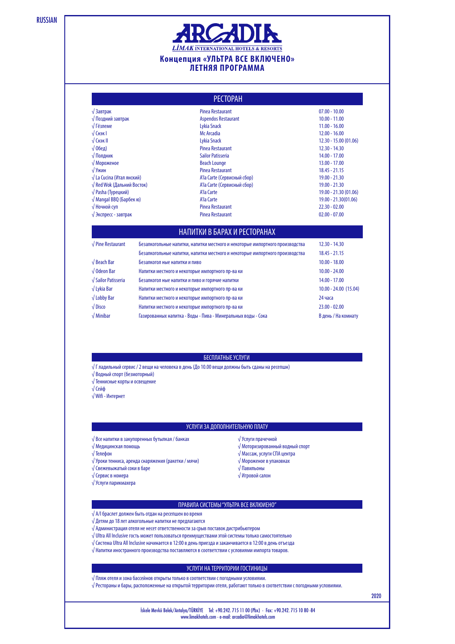RUSSIAN



# **Концепция «УЛЬТРА ВСЕ ВКЛЮЧЕНО» ЛЕТНЯЯ ПРОГРАММА**

| <b>PECTOPAH</b>                   |                             |                        |
|-----------------------------------|-----------------------------|------------------------|
| $\sqrt{3a}$ втрак                 | Pinea Restaurant            | $07.00 - 10.00$        |
| $\sqrt{\sqrt{2}}$ Поздний завтрак | <b>Aspendos Restaurant</b>  | $10.00 - 11.00$        |
| √Гёзлеме                          | Lykia Snack                 | $11.00 - 16.00$        |
| $\sqrt{C}$ нэк I                  | Mc Arcadia                  | $12.00 - 16.00$        |
| $\sqrt{C}$ нэк II                 | Lykia Snack                 | 12.30 - 15.00 (01.06)  |
| $\sqrt{06e}$ д                    | Pinea Restaurant            | $12.30 - 14.30$        |
| √ Полдник                         | <b>Sailor Patisseria</b>    | $14.00 - 17.00$        |
| √ Мороженое                       | <b>Beach Lounge</b>         | $13.00 - 17.00$        |
| √Ужин                             | Pinea Restaurant            | $18.45 - 21.15$        |
| √La Cucina (Итал янский)          | A'la Carte (Сервисный сбор) | $19.00 - 21.30$        |
| $\sqrt{Red}$ Wok (Дальний Восток) | A'la Carte (Сервисный сбор) | $19.00 - 21.30$        |
| $\sqrt{P}$ asha (Турецкий)        | A'la Carte                  | 19.00 - 21.30 (01.06)  |
| $\sqrt{M}$ Mangal BBQ (Барбек ю)  | A'la Carte                  | $19.00 - 21.30(01.06)$ |
| √ Ночной суп                      | Pinea Restaurant            | $22.30 - 02.00$        |
| $\sqrt{3}$ кспресс - завтрак      | Pinea Restaurant            | $02.00 - 07.00$        |

## НАПИТКИ В БАРАХ И РЕСТОРАНАХ

| $\sqrt{\text{Pine}$ Restaurant | Безалкогольные напитки, напитки местного и некоторые импортного производства | $12.30 - 14.30$       |
|--------------------------------|------------------------------------------------------------------------------|-----------------------|
|                                | Безалкогольные напитки, напитки местного и некоторые импортного производства | $18.45 - 21.15$       |
| $\sqrt{$ Beach Bar             | Безалкогол ные напитки и пиво                                                | $10.00 - 18.00$       |
| $\sqrt{0}$ deon Bar            | Напитки местного и некоторые импортного пр-ва ки                             | $10.00 - 24.00$       |
| √ Sailor Patisseria            | Безалкогол ные напитки и пиво и горячие напитки                              | $14.00 - 17.00$       |
| √ Lykia Bar                    | Напитки местного и некоторые импортного пр-ва ки                             | 10.00 - 24.00 (15.04) |
| $\sqrt{\text{Lobby Bar}}$      | Напитки местного и некоторые импортного пр-ва ки                             | 24 часа               |
| $\sqrt{$ Disco                 | Напитки местного и некоторые импортного пр-ва ки                             | $23.00 - 02.00$       |
| $\sqrt{}$ Minibar              | Газированных напитка - Воды - Пива - Минеральных воды - Сока                 | В день / На комнату   |
|                                |                                                                              |                       |

#### БЕСПЛАТНЫЕ УСЛУГИ

√ Г ладильный сервис / 2 вещи на человека в день (До 10.00 вещи должны быть сданы на ресепшн)

√ Водный спорт (безмоторный)

- √ Теннисные корты и освещение
- √ Сейф

#### √ Wifi - Интернет

#### УСЛУГИ ЗА ДОПОЛНИТЕЛЬНУЮ ПЛАТУ

√ Все напитки в закупоренных бутылкая / банках

√ Медицинская помощь

- √ Телефон
- √ Уроки тенниса, аренда снаряжения (ракетки / мячи)
- √ Свежевыжатый соки в баре
- √ Сервис в номера
- √ Услуги парикмахера
- √ Услуги прачечной
	- √ Моторизированный водный спорт
	- √ Массаж, услуги СПА центра
	- √ Мороженое в упаковках
	- √ Павильоны
	- √ Игровой салон

#### ПРАВИЛА СИСТЕМЫ "УЛЬТРА ВСЕ ВКЛЮИЕНО"

- √ A/I браслет должен быть отдан на ресепшен во время
- √ Детям до 18 лет алкогольные напитки не предлагаются
- √ Администрация отеля не несет ответственности за срыв поставок дистрибьютером
- √ Ultra All Inclusive гость может пользоваться преимуществами этой системы только самостоятельно
- √ Система Ultra All Inclusive начинается в 12:00 в день приезда и заканчивается в 12:00 в день отъезда
- √ Напитки иностранного производства поставляются в соответствии с условиями импорта товаров.

#### УСЛУГИ НА ТЕРРИТОРИИ ГОСТИНИЦЫ

- √ Пляж отеля и зона бассейнов открыты только в соответствии с погодными условиями.
- √ Рестораны и бары, расположенные на открытой территории отеля, работают только в соответствии с погодными условиями.